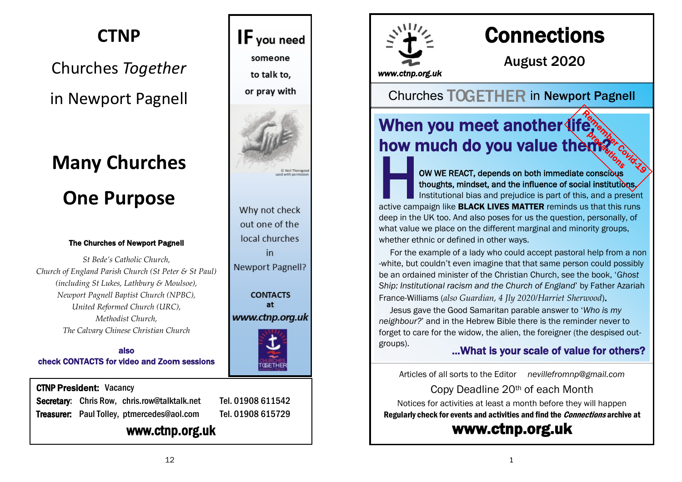# **CTNP**

# Churches *Together* in Newport Pagnell

# **Many Churches One Purpose**

#### The Churches of Newport Pagnell

*St Bede's Catholic Church, Church of England Parish Church (St Peter & St Paul) (including St Lukes, Lathbury & Moulsoe), Newport Pagnell Baptist Church (NPBC), United Reformed Church (URC), Methodist Church, The Calvary Chinese Christian Church*

also check CONTACTS for video and Zoom sessions

#### CTNP President: Vacancy

Secretary: Chris Row, chris.row@talktalk.net Tel. 01908 611542 Treasurer: Paul Tolley, ptmercedes@aol.com Tel. 01908 615729

### www.ctnp.org.uk



Why not check out one of the local churches in Newport Pagnell?

**CONTACTS** at www.ctnp.org.uk





# **Connections**

August 2020

*www.ctnp.org.uk* 

Churches TOGETHER in Newport Pagnell

# When you meet another (ife, how much do you value them?

THE ACT CONTROLL CONTROLL CITY CONTROLL CONTROLL CONTROLL CONTROLLED TO THE OWNER REACT, depends on both immediate conscious thoughts, mindset, and the influence of social institutions.<br>Institutional bias and prejudice is OW WE REACT, depends on both immediate conscious thoughts, mindset, and the influence of social institutions.

Institutional bias and prejudice is part of this, and a present deep in the UK too. And also poses for us the question, personally, of what value we place on the different marginal and minority groups, whether ethnic or defined in other ways.

 For the example of a lady who could accept pastoral help from a non -white, but couldn't even imagine that that same person could possibly be an ordained minister of the Christian Church, see the book, '*Ghost Ship: Institutional racism and the Church of England*' by Father Azariah France-Williams (*also Guardian, 4 Jly 2020/Harriet Sherwood*).

 Jesus gave the Good Samaritan parable answer to '*Who is my neighbour?*' and in the Hebrew Bible there is the reminder never to forget to care for the widow, the alien, the foreigner (the despised outgroups).

#### ...What is your scale of value for others?

Articles of all sorts to the Editor *[nevillefromnp@gmail.com](mailto:nevillefromnp@gmail.com)*

Copy Deadline 20th of each Month

Notices for activities at least a month before they will happen Regularly check for events and activities and find the Connections archive at

### [www.ctnp.org.uk](http://www.ctnp.org.uk)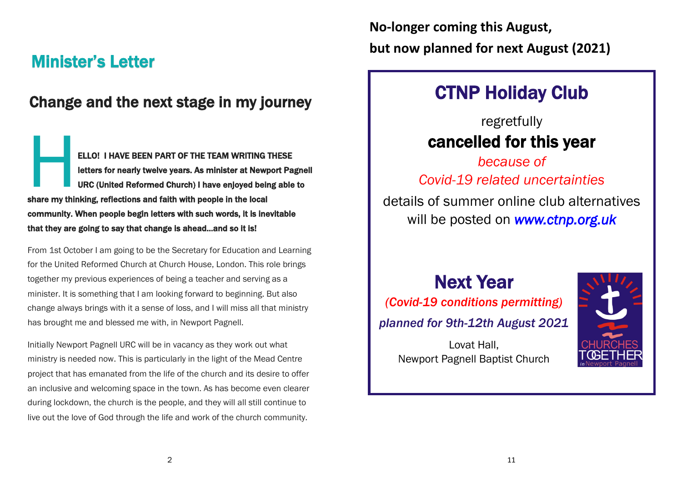# Minister's Letter

### Change and the next stage in my journey

ELLO<br>
letter<br>
uRC<br>
share my thinking ELLO! I HAVE BEEN PART OF THE TEAM WRITING THESE letters for nearly twelve years. As minister at Newport Pagnell URC (United Reformed Church) I have enjoyed being able to share my thinking, reflections and faith with people in the local community. When people begin letters with such words, it is inevitable that they are going to say that change is ahead...and so it is!

From 1st October I am going to be the Secretary for Education and Learning for the United Reformed Church at Church House, London. This role brings together my previous experiences of being a teacher and serving as a minister. It is something that I am looking forward to beginning. But also change always brings with it a sense of loss, and I will miss all that ministry has brought me and blessed me with, in Newport Pagnell.

Initially Newport Pagnell URC will be in vacancy as they work out what ministry is needed now. This is particularly in the light of the Mead Centre project that has emanated from the life of the church and its desire to offer an inclusive and welcoming space in the town. As has become even clearer during lockdown, the church is the people, and they will all still continue to live out the love of God through the life and work of the church community.

**No-longer coming this August, but now planned for next August (2021)**

# CTNP Holiday Club

# regretfully cancelled for this year

*because of Covid-19 related uncertainties*

details of summer online club alternatives will be posted on *[www.ctnp.org.uk](https://www.ctnp.org.uk)*

Next Year *(Covid-19 conditions permitting) planned for 9th-12th August 2021*

> Lovat Hall, Newport Pagnell Baptist Church

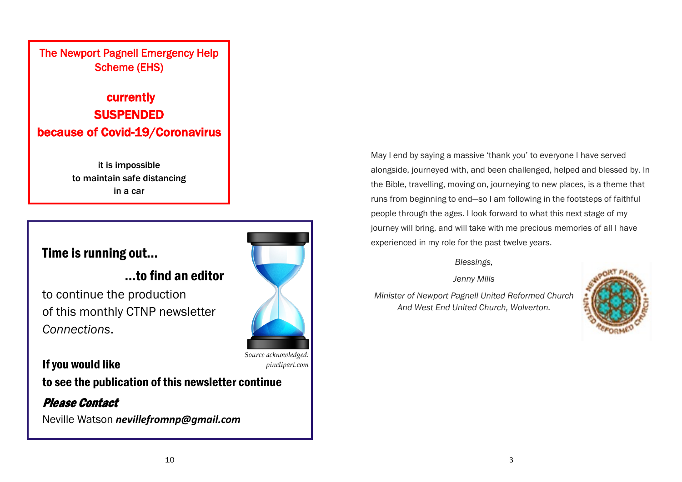#### The Newport Pagnell Emergency Help Scheme (EHS)

# currently SUSPENDED because of Covid-19/Coronavirus

it is impossible to maintain safe distancing in a car

### Time is running out...

### ...to find an editor

to continue the production of this monthly CTNP newsletter *Connections*.

If you would like to see the publication of this newsletter continue

Please Contact Neville Watson *[nevillefromnp@gmail.com](mailto:nevillefromnp@gmail.com)*

*Source acknowledged:*

*pinclipart.com*

May I end by saying a massive 'thank you' to everyone I have served alongside, journeyed with, and been challenged, helped and blessed by. In the Bible, travelling, moving on, journeying to new places, is a theme that runs from beginning to end—so I am following in the footsteps of faithful people through the ages. I look forward to what this next stage of my journey will bring, and will take with me precious memories of all I have experienced in my role for the past twelve years.

#### *Blessings,*

*Jenny Mills*

*Minister of Newport Pagnell United Reformed Church And West End United Church, Wolverton.*

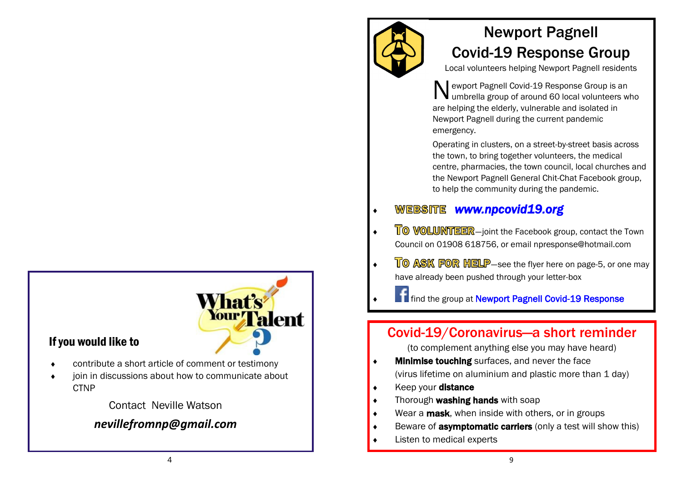#### If you would like to

- What's alent
- contribute a short article of comment or testimony
- join in discussions about how to communicate about **CTNP**

#### Contact Neville Watson

#### *[nevillefromnp@gmail.com](mailto:nevillefromnp@gmail.com)*



# Newport Pagnell Covid-19 Response Group

Local volunteers helping Newport Pagnell residents

N ewport Pagnell Covid-19 Response Group is an umbrella group of around 60 local volunteers who are helping the elderly, vulnerable and isolated in Newport Pagnell during the current pandemic emergency.

Operating in clusters, on a street-by-street basis across the town, to bring together volunteers, the medical centre, pharmacies, the town council, local churches and the Newport Pagnell General Chit-Chat Facebook group, to help the community during the pandemic.

#### *[www.npcovid19.org](http://www.npcovid19.org)*

- TO VOLUNTEER-joint the Facebook group, contact the Town Council on 01908 618756, or email npresponse@hotmail.com
- $\sqrt{\phantom{a}}$   $\sqrt{\phantom{a}}$   $\sqrt{\phantom{a}}$   $\sqrt{\phantom{a}}$   $\sqrt{\phantom{a}}$   $\sqrt{\phantom{a}}$   $\sqrt{\phantom{a}}$   $\sqrt{\phantom{a}}$   $\sqrt{\phantom{a}}$   $\sqrt{\phantom{a}}$   $\sqrt{\phantom{a}}$   $\sqrt{\phantom{a}}$   $\sqrt{\phantom{a}}$   $\sqrt{\phantom{a}}$   $\sqrt{\phantom{a}}$   $\sqrt{\phantom{a}}$   $\sqrt{\phantom{a}}$   $\sqrt{\phantom{a}}$   $\sqrt{\phantom{a}}$   $\sqrt{\phantom{a}}$  have already been pushed through your letter-box

**f** find the group at Newport Pagnell Covid-19 Response

### Covid-19/Coronavirus—a short reminder

(to complement anything else you may have heard)

- **Minimise touching** surfaces, and never the face (virus lifetime on aluminium and plastic more than 1 day)
- $\bullet$  Keep your distance
- **Thorough washing hands** with soap
- $\bullet$  Wear a **mask**, when inside with others, or in groups
- Beware of **asymptomatic carriers** (only a test will show this)
- Listen to medical experts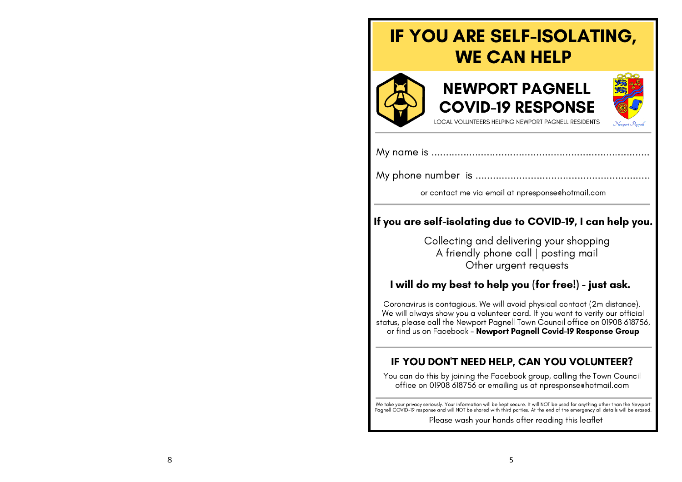# **IF YOU ARE SELF-ISOLATING, WE CAN HELP**







LOCAL VOLUNTEERS HELPING NEWPORT PAGNELL RESIDENTS

or contact me via email at npresponsechotmail.com

#### If you are self-isolating due to COVID-19, I can help you.

Collecting and delivering your shopping A friendly phone call | posting mail Other urgent requests

#### I will do my best to help you (for free!) - just ask.

Coronavirus is contagious. We will avoid physical contact (2m distance). We will always show you a volunteer card. If you want to verify our official status, please call the Newport Pagnell Town Council office on 01908 618756, or find us on Facebook - Newport Pagnell Covid-19 Response Group

#### IF YOU DON'T NEED HELP, CAN YOU VOLUNTEER?

You can do this by joining the Facebook group, calling the Town Council office on 01908 618756 or emailing us at npresponse hotmail.com

We take your privacy seriously. Your information will be kept secure. It will NOT be used for anything other than the Newport Pagnell COVID-19 response and will NOT be shared with third parties. At the end of the emergency all details will be erased.

Please wash your hands after reading this leaflet